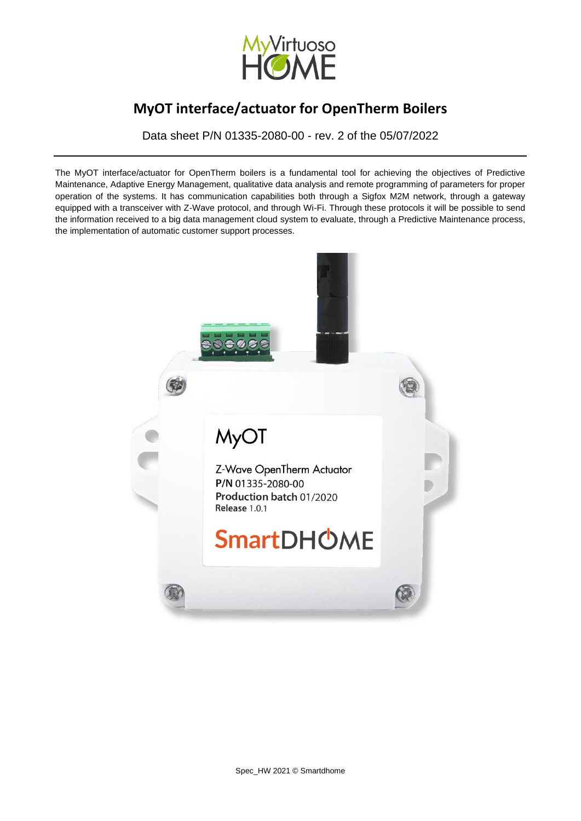

Data sheet P/N 01335-2080-00 - rev. 2 of the 05/07/2022

The MyOT interface/actuator for OpenTherm boilers is a fundamental tool for achieving the objectives of Predictive Maintenance, Adaptive Energy Management, qualitative data analysis and remote programming of parameters for proper operation of the systems. It has communication capabilities both through a Sigfox M2M network, through a gateway equipped with a transceiver with Z-Wave protocol, and through Wi-Fi. Through these protocols it will be possible to send the information received to a big data management cloud system to evaluate, through a Predictive Maintenance process, the implementation of automatic customer support processes.

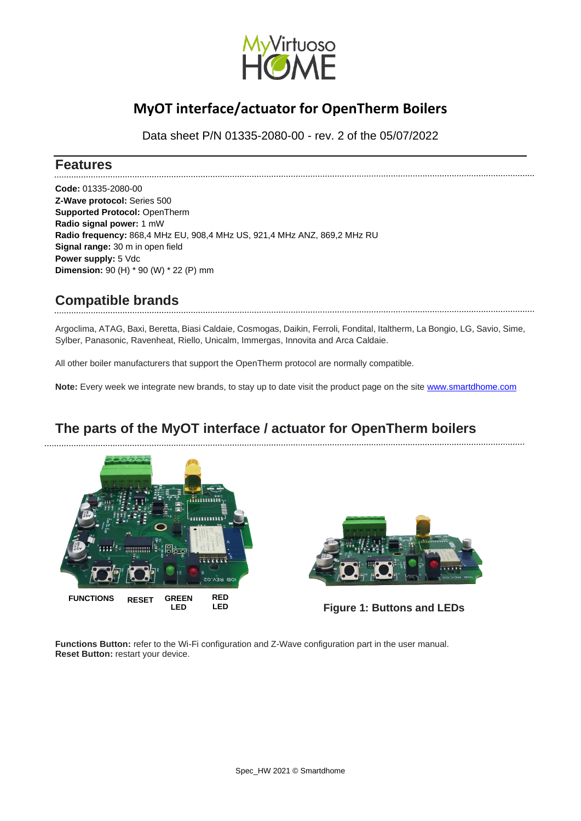

Data sheet P/N 01335-2080-00 - rev. 2 of the 05/07/2022

#### **Features**

**Code:** 01335-2080-00 **Z-Wave protocol:** Series 500 **Supported Protocol:** OpenTherm **Radio signal power:** 1 mW **Radio frequency:** 868,4 MHz EU, 908,4 MHz US, 921,4 MHz ANZ, 869,2 MHz RU **Signal range:** 30 m in open field **Power supply:** 5 Vdc **Dimension:** 90 (H) \* 90 (W) \* 22 (P) mm

## **Compatible brands**

Argoclima, ATAG, Baxi, Beretta, Biasi Caldaie, Cosmogas, Daikin, Ferroli, Fondital, Italtherm, La Bongio, LG, Savio, Sime, Sylber, Panasonic, Ravenheat, Riello, Unicalm, Immergas, Innovita and Arca Caldaie.

All other boiler manufacturers that support the OpenTherm protocol are normally compatible.

**Note:** Every week we integrate new brands, to stay up to date visit the product page on the site [www.smartdhome.com](https://www.smartdhome.com/en/projects/iot-devices/iot-connected-boilers.html)

## **The parts of the MyOT interface / actuator for OpenTherm boilers**





**Figure 1: Buttons and LEDs**

**Functions Button:** refer to the Wi-Fi configuration and Z-Wave configuration part in the user manual. **Reset Button:** restart your device.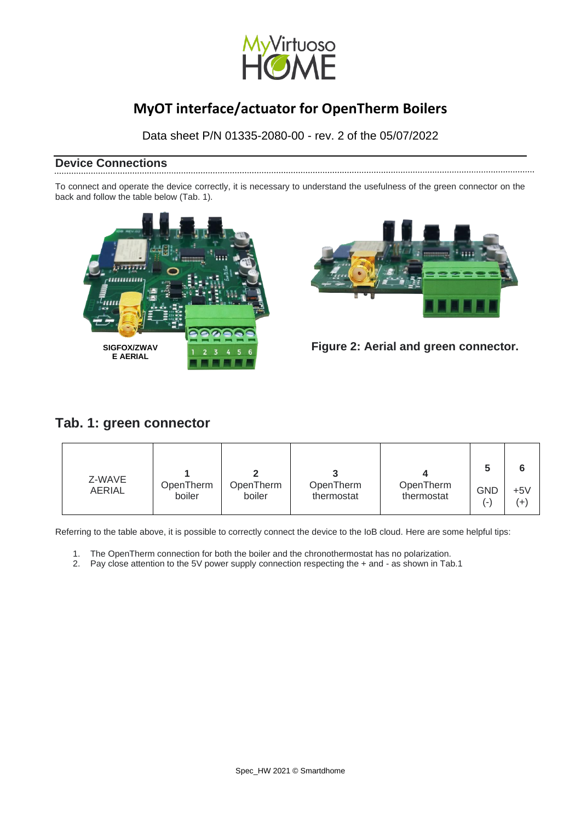

Data sheet P/N 01335-2080-00 - rev. 2 of the 05/07/2022

#### **Device Connections**

To connect and operate the device correctly, it is necessary to understand the usefulness of the green connector on the back and follow the table below (Tab. 1).





 **Figure 2: Aerial and green connector.**

### **Tab. 1: green connector**

| Z-WAVE<br><b>AERIAL</b> | OpenTherm | OpenTherm | OpenTherm  | OpenTherm  | <b>GND</b>               | $+5V$    |
|-------------------------|-----------|-----------|------------|------------|--------------------------|----------|
|                         | boiler    | boiler    | thermostat | thermostat | $\overline{\phantom{a}}$ | $^{(+)}$ |

Referring to the table above, it is possible to correctly connect the device to the IoB cloud. Here are some helpful tips:

- 1. The OpenTherm connection for both the boiler and the chronothermostat has no polarization.
- 2. Pay close attention to the 5V power supply connection respecting the + and as shown in Tab.1